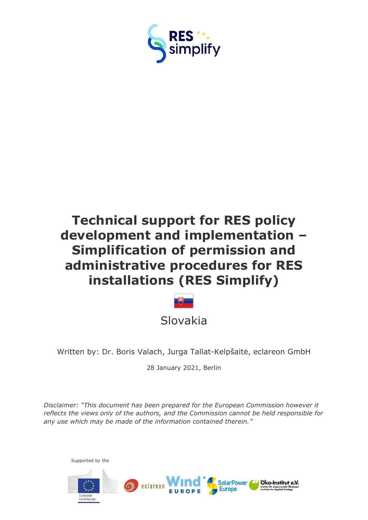

# **Technical support for RES policy development and implementation – Simplification of permission and administrative procedures for RES installations (RES Simplify)**



Written by: Dr. Boris Valach, Jurga Tallat-Kelpšaitė, eclareon GmbH

28 January 2021, Berlin

*Disclaimer: "This document has been prepared for the European Commission however it reflects the views only of the authors, and the Commission cannot be held responsible for any use which may be made of the information contained therein."*



Supported by the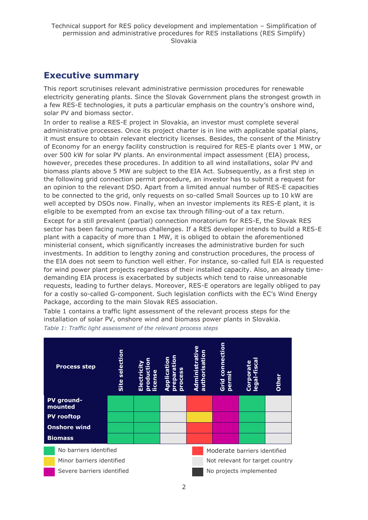# <span id="page-1-0"></span>**Executive summary**

This report scrutinises relevant administrative permission procedures for renewable electricity generating plants. Since the Slovak Government plans the strongest growth in a few RES-E technologies, it puts a particular emphasis on the country's onshore wind, solar PV and biomass sector.

In order to realise a RES-E project in Slovakia, an investor must complete several administrative processes. Once its project charter is in line with applicable spatial plans, it must ensure to obtain relevant electricity licenses. Besides, the consent of the Ministry of Economy for an energy facility construction is required for RES-E plants over 1 MW, or over 500 kW for solar PV plants. An environmental impact assessment (EIA) process, however, precedes these procedures. In addition to all wind installations, solar PV and biomass plants above 5 MW are subject to the EIA Act. Subsequently, as a first step in the following grid connection permit procedure, an investor has to submit a request for an opinion to the relevant DSO. Apart from a limited annual number of RES-E capacities to be connected to the grid, only requests on so-called Small Sources up to 10 kW are well accepted by DSOs now. Finally, when an investor implements its RES-E plant, it is eligible to be exempted from an excise tax through filling-out of a tax return.

Except for a still prevalent (partial) connection moratorium for RES-E, the Slovak RES sector has been facing numerous challenges. If a RES developer intends to build a RES-E plant with a capacity of more than 1 MW, it is obliged to obtain the aforementioned ministerial consent, which significantly increases the administrative burden for such investments. In addition to lengthy zoning and construction procedures, the process of the EIA does not seem to function well either. For instance, so-called full EIA is requested for wind power plant projects regardless of their installed capacity. Also, an already timedemanding EIA process is exacerbated by subjects which tend to raise unreasonable requests, leading to further delays. Moreover, RES-E operators are legally obliged to pay for a costly so-called G-component. Such legislation conflicts with the EC's Wind Energy Package, according to the main Slovak RES association.

Table 1 contains a traffic light assessment of the relevant process steps for the installation of solar PV, onshore wind and biomass power plants in Slovakia. *Table 1: Traffic light assessment of the relevant process steps*

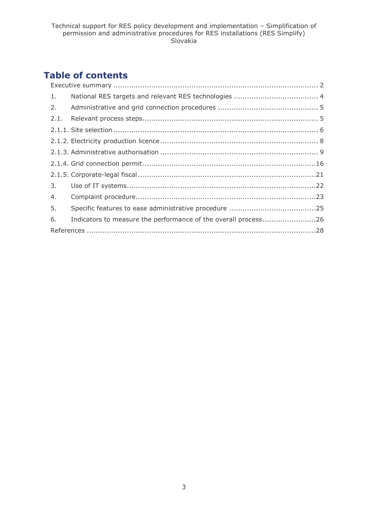# **Table of contents**

| Indicators to measure the performance of the overall process26 |
|----------------------------------------------------------------|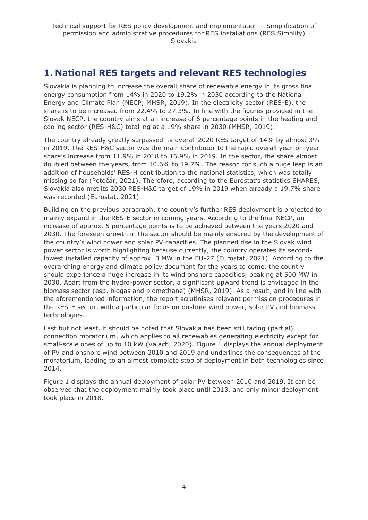# <span id="page-3-0"></span>**1. National RES targets and relevant RES technologies**

Slovakia is planning to increase the overall share of renewable energy in its gross final energy consumption from 14% in 2020 to 19.2% in 2030 according to the National Energy and Climate Plan (NECP; MHSR, 2019). In the electricity sector (RES-E), the share is to be increased from 22.4% to 27.3%. In line with the figures provided in the Slovak NECP, the country aims at an increase of 6 percentage points in the heating and cooling sector (RES-H&C) totalling at a 19% share in 2030 (MHSR, 2019).

The country already greatly surpassed its overall 2020 RES target of 14% by almost 3% in 2019. The RES-H&C sector was the main contributor to the rapid overall year-on-year share's increase from 11.9% in 2018 to 16.9% in 2019. In the sector, the share almost doubled between the years, from 10.6% to 19.7%. The reason for such a huge leap is an addition of households' RES-H contribution to the national statistics, which was totally missing so far (Potočár, 2021). Therefore, according to the Eurostat's statistics SHARES, Slovakia also met its 2030 RES-H&C target of 19% in 2019 when already a 19.7% share was recorded (Eurostat, 2021).

Building on the previous paragraph, the country's further RES deployment is projected to mainly expand in the RES-E sector in coming years. According to the final NECP, an increase of approx. 5 percentage points is to be achieved between the years 2020 and 2030. The foreseen growth in the sector should be mainly ensured by the development of the country's wind power and solar PV capacities. The planned rise in the Slovak wind power sector is worth highlighting because currently, the country operates its secondlowest installed capacity of approx. 3 MW in the EU-27 (Eurostat, 2021). According to the overarching energy and climate policy document for the years to come, the country should experience a huge increase in its wind onshore capacities, peaking at 500 MW in 2030. Apart from the hydro-power sector, a significant upward trend is envisaged in the biomass sector (esp. biogas and biomethane) (MHSR, 2019). As a result, and in line with the aforementioned information, the report scrutinises relevant permission procedures in the RES-E sector, with a particular focus on onshore wind power, solar PV and biomass technologies.

Last but not least, it should be noted that Slovakia has been still facing (partial) connection moratorium, which applies to all renewables generating electricity except for small-scale ones of up to 10 kW (Valach, 2020). Figure 1 displays the annual deployment of PV and onshore wind between 2010 and 2019 and underlines the consequences of the moratorium, leading to an almost complete stop of deployment in both technologies since 2014.

Figure 1 displays the annual deployment of solar PV between 2010 and 2019. It can be observed that the deployment mainly took place until 2013, and only minor deployment took place in 2018.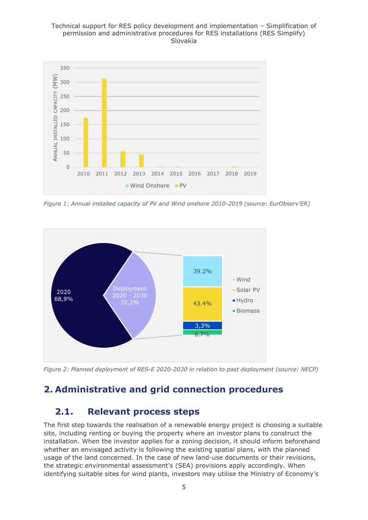#### Technical support for RES policy development and implementation – Simplification of permission and administrative procedures for RES installations (RES Simplify) Slovakia



*Figure 1: Annual installed capacity of PV and Wind onshore 2010-2019 (source: EurObserv'ER)*



*Figure 2: Planned deployment of RES-E 2020-2030 in relation to past deployment (source: NECP)*

# <span id="page-4-1"></span><span id="page-4-0"></span>**2. Administrative and grid connection procedures**

# **2.1. Relevant process steps**

The first step towards the realisation of a renewable energy project is choosing a suitable site, including renting or buying the property where an investor plans to construct the installation. When the investor applies for a zoning decision, it should inform beforehand whether an envisaged activity is following the existing spatial plans, with the planned usage of the land concerned. In the case of new land-use documents or their revisions, the strategic environmental assessment's (SEA) provisions apply accordingly. When identifying suitable sites for wind plants, investors may utilise the Ministry of Economy's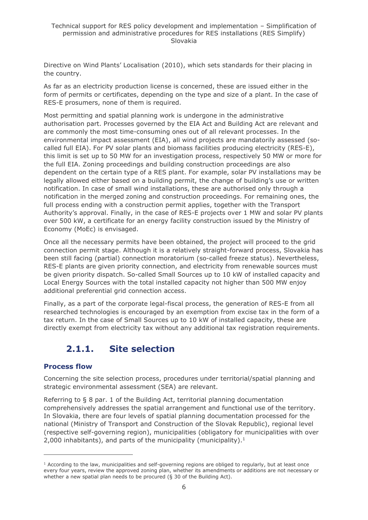Directive on Wind Plants' Localisation (2010), which sets standards for their placing in the country.

As far as an electricity production license is concerned, these are issued either in the form of permits or certificates, depending on the type and size of a plant. In the case of RES-E prosumers, none of them is required.

Most permitting and spatial planning work is undergone in the administrative authorisation part. Processes governed by the EIA Act and Building Act are relevant and are commonly the most time-consuming ones out of all relevant processes. In the environmental impact assessment (EIA), all wind projects are mandatorily assessed (socalled full EIA). For PV solar plants and biomass facilities producing electricity (RES-E), this limit is set up to 50 MW for an investigation process, respectively 50 MW or more for the full EIA. Zoning proceedings and building construction proceedings are also dependent on the certain type of a RES plant. For example, solar PV installations may be legally allowed either based on a building permit, the change of building's use or written notification. In case of small wind installations, these are authorised only through a notification in the merged zoning and construction proceedings. For remaining ones, the full process ending with a construction permit applies, together with the Transport Authority's approval. Finally, in the case of RES-E projects over 1 MW and solar PV plants over 500 kW, a certificate for an energy facility construction issued by the Ministry of Economy (MoEc) is envisaged.

Once all the necessary permits have been obtained, the project will proceed to the grid connection permit stage. Although it is a relatively straight-forward process, Slovakia has been still facing (partial) connection moratorium (so-called freeze status). Nevertheless, RES-E plants are given priority connection, and electricity from renewable sources must be given priority dispatch. So-called Small Sources up to 10 kW of installed capacity and Local Energy Sources with the total installed capacity not higher than 500 MW enjoy additional preferential grid connection access.

Finally, as a part of the corporate legal-fiscal process, the generation of RES-E from all researched technologies is encouraged by an exemption from excise tax in the form of a tax return. In the case of Small Sources up to 10 kW of installed capacity, these are directly exempt from electricity tax without any additional tax registration requirements.

# <span id="page-5-0"></span>**2.1.1. Site selection**

### **Process flow**

Concerning the site selection process, procedures under territorial/spatial planning and strategic environmental assessment (SEA) are relevant.

Referring to § 8 par. 1 of the Building Act, territorial planning documentation comprehensively addresses the spatial arrangement and functional use of the territory. In Slovakia, there are four levels of spatial planning documentation processed for the national (Ministry of Transport and Construction of the Slovak Republic), regional level (respective self-governing region), municipalities (obligatory for municipalities with over 2,000 inhabitants), and parts of the municipality (municipality). $<sup>1</sup>$ </sup>

 $1$  According to the law, municipalities and self-governing regions are obliged to regularly, but at least once every four years, review the approved zoning plan, whether its amendments or additions are not necessary or whether a new spatial plan needs to be procured (§ 30 of the Building Act).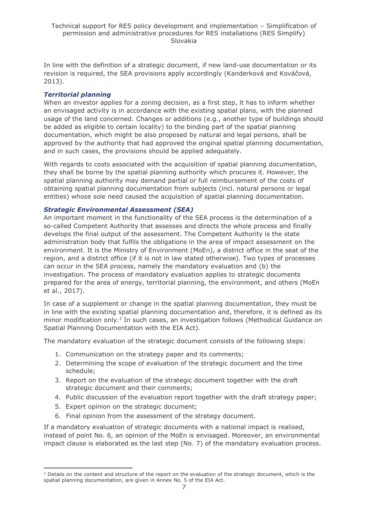In line with the definition of a strategic document, if new land-use documentation or its revision is required, the SEA provisions apply accordingly (Kanderková and Kováčová, 2013).

### *Territorial planning*

When an investor applies for a zoning decision, as a first step, it has to inform whether an envisaged activity is in accordance with the existing spatial plans, with the planned usage of the land concerned. Changes or additions (e.g., another type of buildings should be added as eligible to certain locality) to the binding part of the spatial planning documentation, which might be also proposed by natural and legal persons, shall be approved by the authority that had approved the original spatial planning documentation, and in such cases, the provisions should be applied adequately.

With regards to costs associated with the acquisition of spatial planning documentation, they shall be borne by the spatial planning authority which procures it. However, the spatial planning authority may demand partial or full reimbursement of the costs of obtaining spatial planning documentation from subjects (incl. natural persons or legal entities) whose sole need caused the acquisition of spatial planning documentation.

#### *Strategic Environmental Assessment (SEA)*

An important moment in the functionality of the SEA process is the determination of a so-called Competent Authority that assesses and directs the whole process and finally develops the final output of the assessment. The Competent Authority is the state administration body that fulfils the obligations in the area of impact assessment on the environment. It is the Ministry of Environment (MoEn), a district office in the seat of the region, and a district office (if it is not in law stated otherwise). Two types of processes can occur in the SEA process, namely the mandatory evaluation and (b) the investigation. The process of mandatory evaluation applies to strategic documents prepared for the area of energy, territorial planning, the environment, and others (MoEn et al., 2017).

In case of a supplement or change in the spatial planning documentation, they must be in line with the existing spatial planning documentation and, therefore, it is defined as its minor modification only.<sup>2</sup> In such cases, an investigation follows (Methodical Guidance on Spatial Planning Documentation with the EIA Act).

The mandatory evaluation of the strategic document consists of the following steps:

- 1. Communication on the strategy paper and its comments;
- 2. Determining the scope of evaluation of the strategic document and the time schedule;
- 3. Report on the evaluation of the strategic document together with the draft strategic document and their comments;
- 4. Public discussion of the evaluation report together with the draft strategy paper;
- 5. Expert opinion on the strategic document;
- 6. Final opinion from the assessment of the strategy document.

If a mandatory evaluation of strategic documents with a national impact is realised, instead of point No. 6, an opinion of the MoEn is envisaged. Moreover, an environmental impact clause is elaborated as the last step (No. 7) of the mandatory evaluation process.

<sup>&</sup>lt;sup>2</sup> Details on the content and structure of the report on the evaluation of the strategic document, which is the spatial planning documentation, are given in Annex No. 5 of the EIA Act.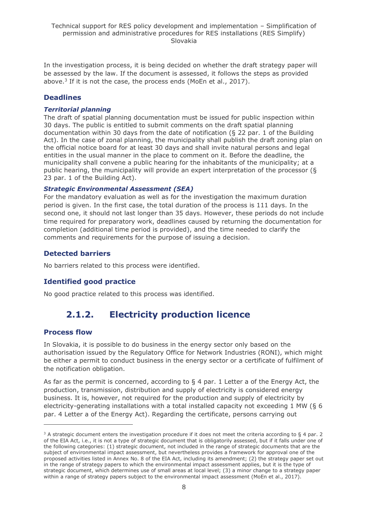In the investigation process, it is being decided on whether the draft strategy paper will be assessed by the law. If the document is assessed, it follows the steps as provided above.<sup>3</sup> If it is not the case, the process ends (MoEn et al., 2017).

### **Deadlines**

#### *Territorial planning*

The draft of spatial planning documentation must be issued for public inspection within 30 days. The public is entitled to submit comments on the draft spatial planning documentation within 30 days from the date of notification (§ 22 par. 1 of the Building Act). In the case of zonal planning, the municipality shall publish the draft zoning plan on the official notice board for at least 30 days and shall invite natural persons and legal entities in the usual manner in the place to comment on it. Before the deadline, the municipality shall convene a public hearing for the inhabitants of the municipality; at a public hearing, the municipality will provide an expert interpretation of the processor (§ 23 par. 1 of the Building Act).

#### *Strategic Environmental Assessment (SEA)*

For the mandatory evaluation as well as for the investigation the maximum duration period is given. In the first case, the total duration of the process is 111 days. In the second one, it should not last longer than 35 days. However, these periods do not include time required for preparatory work, deadlines caused by returning the documentation for completion (additional time period is provided), and the time needed to clarify the comments and requirements for the purpose of issuing a decision.

### **Detected barriers**

No barriers related to this process were identified.

### **Identified good practice**

<span id="page-7-0"></span>No good practice related to this process was identified.

# **2.1.2. Electricity production licence**

#### **Process flow**

In Slovakia, it is possible to do business in the energy sector only based on the authorisation issued by the Regulatory Office for Network Industries (RONI), which might be either a permit to conduct business in the energy sector or a certificate of fulfilment of the notification obligation.

As far as the permit is concerned, according to  $\S$  4 par. 1 Letter a of the Energy Act, the production, transmission, distribution and supply of electricity is considered energy business. It is, however, not required for the production and supply of electricity by electricity-generating installations with a total installed capacity not exceeding 1 MW (§ 6 par. 4 Letter a of the Energy Act). Regarding the certificate, persons carrying out

 $3$  A strategic document enters the investigation procedure if it does not meet the criteria according to  $\S 4$  par. 2 of the EIA Act, i.e., it is not a type of strategic document that is obligatorily assessed, but if it falls under one of the following categories: (1) strategic document, not included in the range of strategic documents that are the subject of environmental impact assessment, but nevertheless provides a framework for approval one of the proposed activities listed in Annex No. 8 of the EIA Act, including its amendment; (2) the strategy paper set out in the range of strategy papers to which the environmental impact assessment applies, but it is the type of strategic document, which determines use of small areas at local level; (3) a minor change to a strategy paper within a range of strategy papers subject to the environmental impact assessment (MoEn et al., 2017).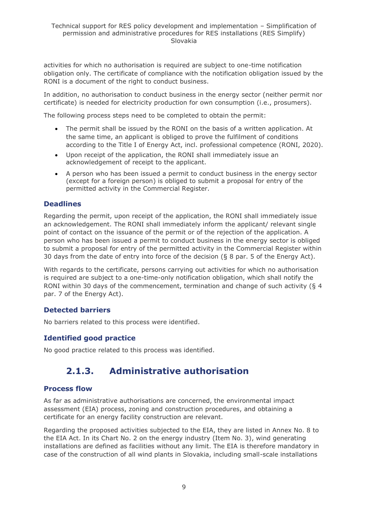activities for which no authorisation is required are subject to one-time notification obligation only. The certificate of compliance with the notification obligation issued by the RONI is a document of the right to conduct business.

In addition, no authorisation to conduct business in the energy sector (neither permit nor certificate) is needed for electricity production for own consumption (i.e., prosumers).

The following process steps need to be completed to obtain the permit:

- The permit shall be issued by the RONI on the basis of a written application. At the same time, an applicant is obliged to prove the fulfilment of conditions according to the Title I of Energy Act, incl. professional competence (RONI, 2020).
- Upon receipt of the application, the RONI shall immediately issue an acknowledgement of receipt to the applicant.
- A person who has been issued a permit to conduct business in the energy sector (except for a foreign person) is obliged to submit a proposal for entry of the permitted activity in the Commercial Register.

### **Deadlines**

Regarding the permit, upon receipt of the application, the RONI shall immediately issue an acknowledgement. The RONI shall immediately inform the applicant/ relevant single point of contact on the issuance of the permit or of the rejection of the application. A person who has been issued a permit to conduct business in the energy sector is obliged to submit a proposal for entry of the permitted activity in the Commercial Register within 30 days from the date of entry into force of the decision  $(6, 8)$  par. 5 of the Energy Act).

With regards to the certificate, persons carrying out activities for which no authorisation is required are subject to a one-time-only notification obligation, which shall notify the RONI within 30 days of the commencement, termination and change of such activity (§ 4 par. 7 of the Energy Act).

### **Detected barriers**

No barriers related to this process were identified.

### **Identified good practice**

<span id="page-8-0"></span>No good practice related to this process was identified.

# **2.1.3. Administrative authorisation**

#### **Process flow**

As far as administrative authorisations are concerned, the environmental impact assessment (EIA) process, zoning and construction procedures, and obtaining a certificate for an energy facility construction are relevant.

Regarding the proposed activities subjected to the EIA, they are listed in Annex No. 8 to the EIA Act. In its Chart No. 2 on the energy industry (Item No. 3), wind generating installations are defined as facilities without any limit. The EIA is therefore mandatory in case of the construction of all wind plants in Slovakia, including small-scale installations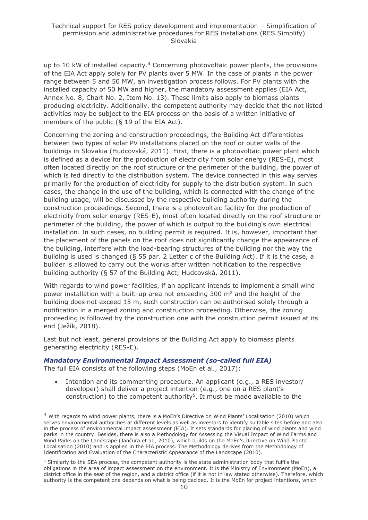up to 10 kW of installed capacity.<sup>4</sup> Concerning photovoltaic power plants, the provisions of the EIA Act apply solely for PV plants over 5 MW. In the case of plants in the power range between 5 and 50 MW, an investigation process follows. For PV plants with the installed capacity of 50 MW and higher, the mandatory assessment applies (EIA Act, Annex No. 8, Chart No. 2, Item No. 13). These limits also apply to biomass plants producing electricity. Additionally, the competent authority may decide that the not listed activities may be subject to the EIA process on the basis of a written initiative of members of the public (§ 19 of the EIA Act).

Concerning the zoning and construction proceedings, the Building Act differentiates between two types of solar PV installations placed on the roof or outer walls of the buildings in Slovakia (Hudcovská, 2011). First, there is a photovoltaic power plant which is defined as a device for the production of electricity from solar energy (RES-E), most often located directly on the roof structure or the perimeter of the building, the power of which is fed directly to the distribution system. The device connected in this way serves primarily for the production of electricity for supply to the distribution system. In such cases, the change in the use of the building, which is connected with the change of the building usage, will be discussed by the respective building authority during the construction proceedings. Second, there is a photovoltaic facility for the production of electricity from solar energy (RES-E), most often located directly on the roof structure or perimeter of the building, the power of which is output to the building's own electrical installation. In such cases, no building permit is required. It is, however, important that the placement of the panels on the roof does not significantly change the appearance of the building, interfere with the load-bearing structures of the building nor the way the building is used is changed (§ 55 par. 2 Letter c of the Building Act). If it is the case, a builder is allowed to carry out the works after written notification to the respective building authority (§ 57 of the Building Act; Hudcovská, 2011).

With regards to wind power facilities, if an applicant intends to implement a small wind power installation with a built-up area not exceeding 300 m<sup>2</sup> and the height of the building does not exceed 15 m, such construction can be authorised solely through a notification in a merged zoning and construction proceeding. Otherwise, the zoning proceeding is followed by the construction one with the construction permit issued at its end (Ježík, 2018).

Last but not least, general provisions of the Building Act apply to biomass plants generating electricity (RES-E).

#### *Mandatory Environmental Impact Assessment (so-called full EIA)*

The full EIA consists of the following steps (MoEn et al., 2017):

• Intention and its commenting procedure. An applicant (e.g., a RES investor/ developer) shall deliver a project intention (e.g., one on a RES plant's construction) to the competent authority<sup>5</sup>. It must be made available to the

<sup>4</sup> With regards to wind power plants, there is a MoEn's Directive on Wind Plants' Localisation (2010) which serves environmental authorities at different levels as well as investors to identify suitable sites before and also in the process of environmental impact assessment (EIA). It sets standards for placing of wind plants and wind parks in the country. Besides, there is also a Methodology for Assessing the Visual Impact of Wind Farms and Wind Parks on the Landscape (Jančura et al., 2010), which builds on the MoEn's Directive on Wind Plants' Localisation (2010) and is applied in the EIA process. The Methodology derives from the Methodology of Identification and Evaluation of the Characteristic Appearance of the Landscape (2010).

<sup>&</sup>lt;sup>5</sup> Similarly to the SEA process, the competent authority is the state administration body that fulfils the obligations in the area of impact assessment on the environment. It is the Ministry of Environment (MoEn), a district office in the seat of the region, and a district office (if it is not in law stated otherwise). Therefore, which authority is the competent one depends on what is being decided. It is the MoEn for project intentions, which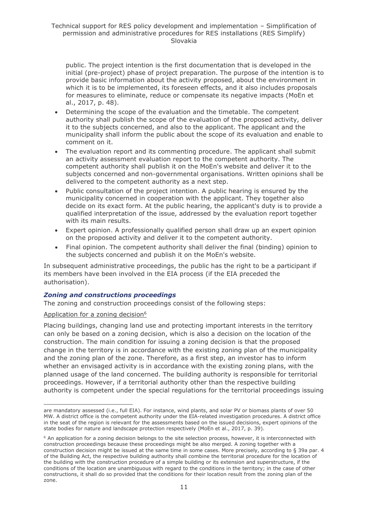public. The project intention is the first documentation that is developed in the initial (pre-project) phase of project preparation. The purpose of the intention is to provide basic information about the activity proposed, about the environment in which it is to be implemented, its foreseen effects, and it also includes proposals for measures to eliminate, reduce or compensate its negative impacts (MoEn et al., 2017, p. 48).

- Determining the scope of the evaluation and the timetable. The competent authority shall publish the scope of the evaluation of the proposed activity, deliver it to the subjects concerned, and also to the applicant. The applicant and the municipality shall inform the public about the scope of its evaluation and enable to comment on it.
- The evaluation report and its commenting procedure. The applicant shall submit an activity assessment evaluation report to the competent authority. The competent authority shall publish it on the MoEn's website and deliver it to the subjects concerned and non-governmental organisations. Written opinions shall be delivered to the competent authority as a next step.
- Public consultation of the project intention. A public hearing is ensured by the municipality concerned in cooperation with the applicant. They together also decide on its exact form. At the public hearing, the applicant's duty is to provide a qualified interpretation of the issue, addressed by the evaluation report together with its main results.
- Expert opinion. A professionally qualified person shall draw up an expert opinion on the proposed activity and deliver it to the competent authority.
- Final opinion. The competent authority shall deliver the final (binding) opinion to the subjects concerned and publish it on the MoEn's website.

In subsequent administrative proceedings, the public has the right to be a participant if its members have been involved in the EIA process (if the EIA preceded the authorisation).

#### *Zoning and constructions proceedings*

The zoning and construction proceedings consist of the following steps:

#### Application for a zoning decision<sup>6</sup>

Placing buildings, changing land use and protecting important interests in the territory can only be based on a zoning decision, which is also a decision on the location of the construction. The main condition for issuing a zoning decision is that the proposed change in the territory is in accordance with the existing zoning plan of the municipality and the zoning plan of the zone. Therefore, as a first step, an investor has to inform whether an envisaged activity is in accordance with the existing zoning plans, with the planned usage of the land concerned. The building authority is responsible for territorial proceedings. However, if a territorial authority other than the respective building authority is competent under the special regulations for the territorial proceedings issuing

are mandatory assessed (i.e., full EIA). For instance, wind plants, and solar PV or biomass plants of over 50 MW. A district office is the competent authority under the EIA-related investigation procedures. A district office in the seat of the region is relevant for the assessments based on the issued decisions, expert opinions of the state bodies for nature and landscape protection respectively (MoEn et al., 2017, p. 39).

<sup>&</sup>lt;sup>6</sup> An application for a zoning decision belongs to the site selection process, however, it is interconnected with construction proceedings because these proceedings might be also merged. A zoning together with a construction decision might be issued at the same time in some cases. More precisely, according to § 39a par. 4 of the Building Act, the respective building authority shall combine the territorial procedure for the location of the building with the construction procedure of a simple building or its extension and superstructure, if the conditions of the location are unambiguous with regard to the conditions in the territory; in the case of other constructions, it shall do so provided that the conditions for their location result from the zoning plan of the zone.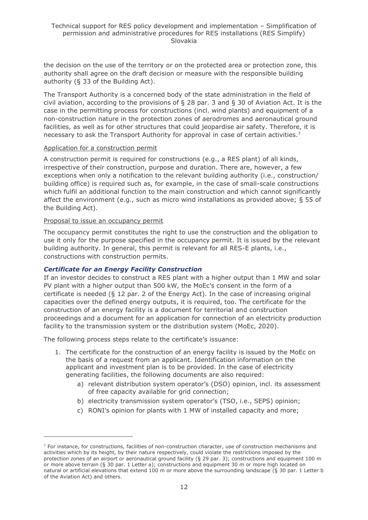the decision on the use of the territory or on the protected area or protection zone, this authority shall agree on the draft decision or measure with the responsible building authority (§ 33 of the Building Act).

The Transport Authority is a concerned body of the state administration in the field of civil aviation, according to the provisions of § 28 par. 3 and § 30 of Aviation Act. It is the case in the permitting process for constructions (incl. wind plants) and equipment of a non-construction nature in the protection zones of aerodromes and aeronautical ground facilities, as well as for other structures that could jeopardise air safety. Therefore, it is necessary to ask the Transport Authority for approval in case of certain activities.<sup>7</sup>

#### Application for a construction permit

A construction permit is required for constructions (e.g., a RES plant) of all kinds, irrespective of their construction, purpose and duration. There are, however, a few exceptions when only a notification to the relevant building authority (i.e., construction/ building office) is required such as, for example, in the case of small-scale constructions which fulfil an additional function to the main construction and which cannot significantly affect the environment (e.g., such as micro wind installations as provided above; § 55 of the Building Act).

#### Proposal to issue an occupancy permit

The occupancy permit constitutes the right to use the construction and the obligation to use it only for the purpose specified in the occupancy permit. It is issued by the relevant building authority. In general, this permit is relevant for all RES-E plants, i.e., constructions with construction permits.

#### *Certificate for an Energy Facility Construction*

If an investor decides to construct a RES plant with a higher output than 1 MW and solar PV plant with a higher output than 500 kW, the MoEc's consent in the form of a certificate is needed (§ 12 par. 2 of the Energy Act). In the case of increasing original capacities over the defined energy outputs, it is required, too. The certificate for the construction of an energy facility is a document for territorial and construction proceedings and a document for an application for connection of an electricity production facility to the transmission system or the distribution system (MoEc, 2020).

The following process steps relate to the certificate's issuance:

- 1. The certificate for the construction of an energy facility is issued by the MoEc on the basis of a request from an applicant. Identification information on the applicant and investment plan is to be provided. In the case of electricity generating facilities, the following documents are also required:
	- a) relevant distribution system operator's (DSO) opinion, incl. its assessment of free capacity available for grid connection;
	- b) electricity transmission system operator's (TSO, i.e., SEPS) opinion;
	- c) RONI's opinion for plants with 1 MW of installed capacity and more;

 $7$  For instance, for constructions, facilities of non-construction character, use of construction mechanisms and activities which by its height, by their nature respectively, could violate the restrictions imposed by the protection zones of an airport or aeronautical ground facility (§ 29 par. 3); constructions and equipment 100 m or more above terrain (§ 30 par. 1 Letter a); constructions and equipment 30 m or more high located on natural or artificial elevations that extend 100 m or more above the surrounding landscape (§ 30 par. 1 Letter b of the Aviation Act) and others.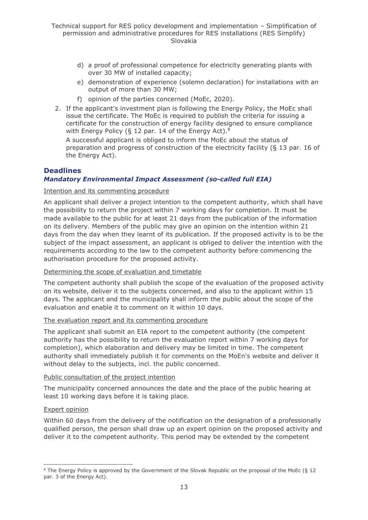- d) a proof of professional competence for electricity generating plants with over 30 MW of installed capacity;
- e) demonstration of experience (solemn declaration) for installations with an output of more than 30 MW;
- f) opinion of the parties concerned (MoEc, 2020).
- 2. If the applicant's investment plan is following the Energy Policy, the MoEc shall issue the certificate. The MoEc is required to publish the criteria for issuing a certificate for the construction of energy facility designed to ensure compliance with Energy Policy (§ 12 par. 14 of the Energy Act).<sup>8</sup>

A successful applicant is obliged to inform the MoEc about the status of preparation and progress of construction of the electricity facility (§ 13 par. 16 of the Energy Act).

# **Deadlines**

### *Mandatory Environmental Impact Assessment (so-called full EIA)*

#### Intention and its commenting procedure

An applicant shall deliver a project intention to the competent authority, which shall have the possibility to return the project within 7 working days for completion. It must be made available to the public for at least 21 days from the publication of the information on its delivery. Members of the public may give an opinion on the intention within 21 days from the day when they learnt of its publication. If the proposed activity is to be the subject of the impact assessment, an applicant is obliged to deliver the intention with the requirements according to the law to the competent authority before commencing the authorisation procedure for the proposed activity.

#### Determining the scope of evaluation and timetable

The competent authority shall publish the scope of the evaluation of the proposed activity on its website, deliver it to the subjects concerned, and also to the applicant within 15 days. The applicant and the municipality shall inform the public about the scope of the evaluation and enable it to comment on it within 10 days.

#### The evaluation report and its commenting procedure

The applicant shall submit an EIA report to the competent authority (the competent authority has the possibility to return the evaluation report within 7 working days for completion), which elaboration and delivery may be limited in time. The competent authority shall immediately publish it for comments on the MoEn's website and deliver it without delay to the subjects, incl. the public concerned.

#### Public consultation of the project intention

The municipality concerned announces the date and the place of the public hearing at least 10 working days before it is taking place.

#### Expert opinion

Within 60 days from the delivery of the notification on the designation of a professionally qualified person, the person shall draw up an expert opinion on the proposed activity and deliver it to the competent authority. This period may be extended by the competent

<sup>&</sup>lt;sup>8</sup> The Energy Policy is approved by the Government of the Slovak Republic on the proposal of the MoEc (§ 12 par. 3 of the Energy Act).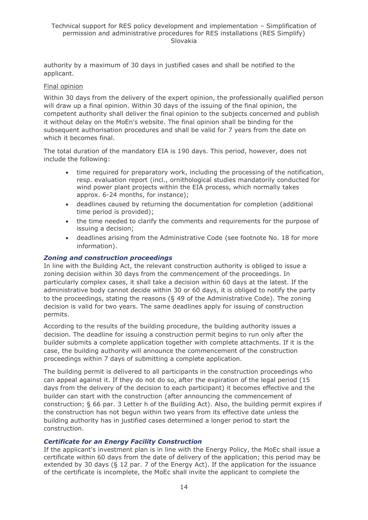authority by a maximum of 30 days in justified cases and shall be notified to the applicant.

#### Final opinion

Within 30 days from the delivery of the expert opinion, the professionally qualified person will draw up a final opinion. Within 30 days of the issuing of the final opinion, the competent authority shall deliver the final opinion to the subjects concerned and publish it without delay on the MoEn's website. The final opinion shall be binding for the subsequent authorisation procedures and shall be valid for 7 years from the date on which it becomes final.

The total duration of the mandatory EIA is 190 days. This period, however, does not include the following:

- time required for preparatory work, including the processing of the notification, resp. evaluation report (incl., ornithological studies mandatorily conducted for wind power plant projects within the EIA process, which normally takes approx. 6-24 months, for instance);
- deadlines caused by returning the documentation for completion (additional time period is provided);
- the time needed to clarify the comments and requirements for the purpose of issuing a decision;
- deadlines arising from the Administrative Code (see footnote No. 18 for more information).

#### *Zoning and construction proceedings*

In line with the Building Act, the relevant construction authority is obliged to issue a zoning decision within 30 days from the commencement of the proceedings. In particularly complex cases, it shall take a decision within 60 days at the latest. If the administrative body cannot decide within 30 or 60 days, it is obliged to notify the party to the proceedings, stating the reasons (§ 49 of the Administrative Code). The zoning decision is valid for two years. The same deadlines apply for issuing of construction permits.

According to the results of the building procedure, the building authority issues a decision. The deadline for issuing a construction permit begins to run only after the builder submits a complete application together with complete attachments. If it is the case, the building authority will announce the commencement of the construction proceedings within 7 days of submitting a complete application.

The building permit is delivered to all participants in the construction proceedings who can appeal against it. If they do not do so, after the expiration of the legal period (15 days from the delivery of the decision to each participant) it becomes effective and the builder can start with the construction (after announcing the commencement of construction; § 66 par. 3 Letter h of the Building Act). Also, the building permit expires if the construction has not begun within two years from its effective date unless the building authority has in justified cases determined a longer period to start the construction.

#### *Certificate for an Energy Facility Construction*

If the applicant's investment plan is in line with the Energy Policy, the MoEc shall issue a certificate within 60 days from the date of delivery of the application; this period may be extended by 30 days (§ 12 par. 7 of the Energy Act). If the application for the issuance of the certificate is incomplete, the MoEc shall invite the applicant to complete the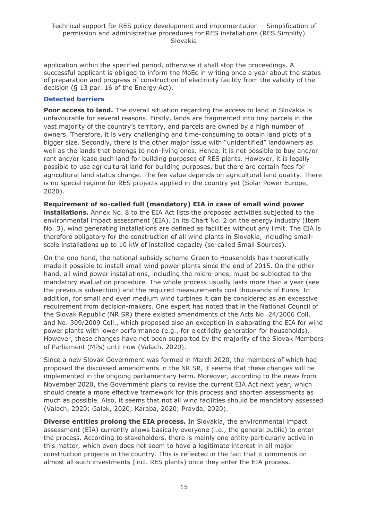application within the specified period, otherwise it shall stop the proceedings. A successful applicant is obliged to inform the MoEc in writing once a year about the status of preparation and progress of construction of electricity facility from the validity of the decision (§ 13 par. 16 of the Energy Act).

#### **Detected barriers**

**Poor access to land.** The overall situation regarding the access to land in Slovakia is unfavourable for several reasons. Firstly, lands are fragmented into tiny parcels in the vast majority of the country's territory, and parcels are owned by a high number of owners. Therefore, it is very challenging and time-consuming to obtain land plots of a bigger size. Secondly, there is the other major issue with "unidentified" landowners as well as the lands that belongs to non-living ones. Hence, it is not possible to buy and/or rent and/or lease such land for building purposes of RES plants. However, it is legally possible to use agricultural land for building purposes, but there are certain fees for agricultural land status change. The fee value depends on agricultural land quality. There is no special regime for RES projects applied in the country yet (Solar Power Europe, 2020).

**Requirement of so-called full (mandatory) EIA in case of small wind power installations.** Annex No. 8 to the EIA Act lists the proposed activities subjected to the environmental impact assessment (EIA). In its Chart No. 2 on the energy industry (Item No. 3), wind generating installations are defined as facilities without any limit. The EIA is therefore obligatory for the construction of all wind plants in Slovakia, including smallscale installations up to 10 kW of installed capacity (so-called Small Sources).

On the one hand, the national subsidy scheme Green to Households has theoretically made it possible to install small wind power plants since the end of 2015. On the other hand, all wind power installations, including the micro-ones, must be subjected to the mandatory evaluation procedure. The whole process usually lasts more than a year (see the previous subsection) and the required measurements cost thousands of Euros. In addition, for small and even medium wind turbines it can be considered as an excessive requirement from decision-makers. One expert has noted that in the National Council of the Slovak Republic (NR SR) there existed amendments of the Acts No. 24/2006 Coll. and No. 309/2009 Coll., which proposed also an exception in elaborating the EIA for wind power plants with lower performance (e.g., for electricity generation for households). However, these changes have not been supported by the majority of the Slovak Members of Parliament (MPs) until now (Valach, 2020).

Since a new Slovak Government was formed in March 2020, the members of which had proposed the discussed amendments in the NR SR, it seems that these changes will be implemented in the ongoing parliamentary term. Moreover, according to the news from November 2020, the Government plans to revise the current EIA Act next year, which should create a more effective framework for this process and shorten assessments as much as possible. Also, it seems that not all wind facilities should be mandatory assessed (Valach, 2020; Galek, 2020; Karaba, 2020; Pravda, 2020).

**Diverse entities prolong the EIA process.** In Slovakia, the environmental impact assessment (EIA) currently allows basically everyone (i.e., the general public) to enter the process. According to stakeholders, there is mainly one entity particularly active in this matter, which even does not seem to have a legitimate interest in all major construction projects in the country. This is reflected in the fact that it comments on almost all such investments (incl. RES plants) once they enter the EIA process.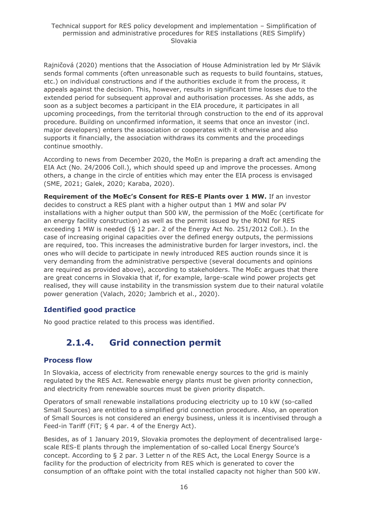Rajničová (2020) mentions that the Association of House Administration led by Mr Slávik sends formal comments (often unreasonable such as requests to build fountains, statues, etc.) on individual constructions and if the authorities exclude it from the process, it appeals against the decision. This, however, results in significant time losses due to the extended period for subsequent approval and authorisation processes. As she adds, as soon as a subject becomes a participant in the EIA procedure, it participates in all upcoming proceedings, from the territorial through construction to the end of its approval procedure. Building on unconfirmed information, it seems that once an investor (incl. major developers) enters the association or cooperates with it otherwise and also supports it financially, the association withdraws its comments and the proceedings continue smoothly.

According to news from December 2020, the MoEn is preparing a draft act amending the EIA Act (No. 24/2006 Coll.), which should speed up and improve the processes. Among others, a change in the circle of entities which may enter the EIA process is envisaged (SME, 2021; Galek, 2020; Karaba, 2020).

**Requirement of the MoEc's Consent for RES-E Plants over 1 MW.** If an investor decides to construct a RES plant with a higher output than 1 MW and solar PV installations with a higher output than 500 kW, the permission of the MoEc (certificate for an energy facility construction) as well as the permit issued by the RONI for RES exceeding 1 MW is needed (§ 12 par. 2 of the Energy Act No. 251/2012 Coll.). In the case of increasing original capacities over the defined energy outputs, the permissions are required, too. This increases the administrative burden for larger investors, incl. the ones who will decide to participate in newly introduced RES auction rounds since it is very demanding from the administrative perspective (several documents and opinions are required as provided above), according to stakeholders. The MoEc argues that there are great concerns in Slovakia that if, for example, large-scale wind power projects get realised, they will cause instability in the transmission system due to their natural volatile power generation (Valach, 2020; Jambrich et al., 2020).

### **Identified good practice**

<span id="page-15-0"></span>No good practice related to this process was identified.

# **2.1.4. Grid connection permit**

#### **Process flow**

In Slovakia, access of electricity from renewable energy sources to the grid is mainly regulated by the RES Act. Renewable energy plants must be given priority connection, and electricity from renewable sources must be given priority dispatch.

Operators of small renewable installations producing electricity up to 10 kW (so-called Small Sources) are entitled to a simplified grid connection procedure. Also, an operation of Small Sources is not considered an energy business, unless it is incentivised through a Feed-in Tariff (FiT; § 4 par. 4 of the Energy Act).

Besides, as of 1 January 2019, Slovakia promotes the deployment of decentralised largescale RES-E plants through the implementation of so-called Local Energy Source's concept. According to § 2 par. 3 Letter n of the RES Act, the Local Energy Source is a facility for the production of electricity from RES which is generated to cover the consumption of an offtake point with the total installed capacity not higher than 500 kW.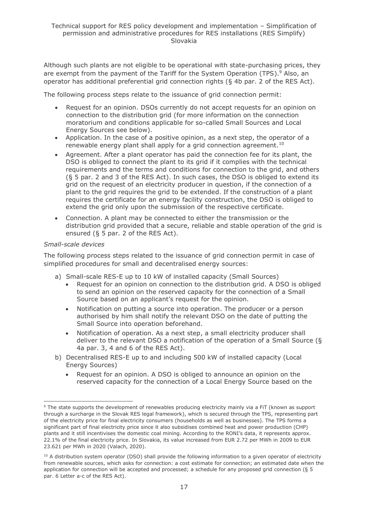Although such plants are not eligible to be operational with state-purchasing prices, they are exempt from the payment of the Tariff for the System Operation (TPS).<sup>9</sup> Also, an operator has additional preferential grid connection rights (§ 4b par. 2 of the RES Act).

The following process steps relate to the issuance of grid connection permit:

- Request for an opinion. DSOs currently do not accept requests for an opinion on connection to the distribution grid (for more information on the connection moratorium and conditions applicable for so-called Small Sources and Local Energy Sources see below).
- Application. In the case of a positive opinion, as a next step, the operator of a renewable energy plant shall apply for a grid connection agreement.<sup>10</sup>
- Agreement. After a plant operator has paid the connection fee for its plant, the DSO is obliged to connect the plant to its grid if it complies with the technical requirements and the terms and conditions for connection to the grid, and others (§ 5 par. 2 and 3 of the RES Act). In such cases, the DSO is obliged to extend its grid on the request of an electricity producer in question, if the connection of a plant to the grid requires the grid to be extended. If the construction of a plant requires the certificate for an energy facility construction, the DSO is obliged to extend the grid only upon the submission of the respective certificate.
- Connection. A plant may be connected to either the transmission or the distribution grid provided that a secure, reliable and stable operation of the grid is ensured (§ 5 par. 2 of the RES Act).

#### *Small-scale devices*

The following process steps related to the issuance of grid connection permit in case of simplified procedures for small and decentralised energy sources:

- a) Small-scale RES-E up to 10 kW of installed capacity (Small Sources)
	- Request for an opinion on connection to the distribution grid. A DSO is obliged to send an opinion on the reserved capacity for the connection of a Small Source based on an applicant's request for the opinion.
	- Notification on putting a source into operation. The producer or a person authorised by him shall notify the relevant DSO on the date of putting the Small Source into operation beforehand.
	- Notification of operation. As a next step, a small electricity producer shall deliver to the relevant DSO a notification of the operation of a Small Source (§ 4a par. 3, 4 and 6 of the RES Act).
- b) Decentralised RES-E up to and including 500 kW of installed capacity (Local Energy Sources)
	- Request for an opinion. A DSO is obliged to announce an opinion on the reserved capacity for the connection of a Local Energy Source based on the

<sup>&</sup>lt;sup>9</sup> The state supports the development of renewables producing electricity mainly via a FiT (known as support through a surcharge in the Slovak RES legal framework), which is secured through the TPS, representing part of the electricity price for final electricity consumers (households as well as businesses). The TPS forms a significant part of final electricity price since it also subsidises combined heat and power production (CHP) plants and it still incentivises the domestic coal mining. According to the RONI's data, it represents approx. 22.1% of the final electricity price. In Slovakia, its value increased from EUR 2.72 per MWh in 2009 to EUR 23.621 per MWh in 2020 (Valach, 2020).

 $10$  A distribution system operator (DSO) shall provide the following information to a given operator of electricity from renewable sources, which asks for connection: a cost estimate for connection; an estimated date when the application for connection will be accepted and processed; a schedule for any proposed grid connection (§ 5 par. 6 Letter a-c of the RES Act).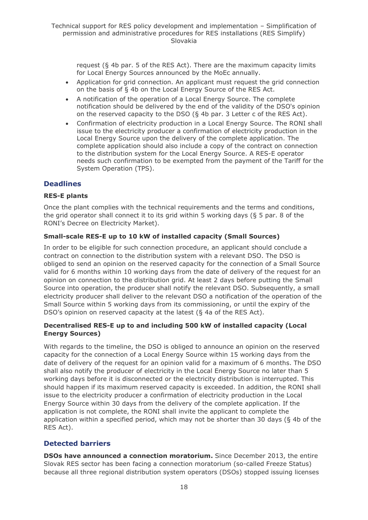request (§ 4b par. 5 of the RES Act). There are the maximum capacity limits for Local Energy Sources announced by the MoEc annually.

- Application for grid connection. An applicant must request the grid connection on the basis of § 4b on the Local Energy Source of the RES Act.
- A notification of the operation of a Local Energy Source. The complete notification should be delivered by the end of the validity of the DSO's opinion on the reserved capacity to the DSO (§ 4b par. 3 Letter c of the RES Act).
- Confirmation of electricity production in a Local Energy Source. The RONI shall issue to the electricity producer a confirmation of electricity production in the Local Energy Source upon the delivery of the complete application. The complete application should also include a copy of the contract on connection to the distribution system for the Local Energy Source. A RES-E operator needs such confirmation to be exempted from the payment of the Tariff for the System Operation (TPS).

# **Deadlines**

#### **RES-E plants**

Once the plant complies with the technical requirements and the terms and conditions, the grid operator shall connect it to its grid within 5 working days (§ 5 par. 8 of the RONI's Decree on Electricity Market).

#### **Small-scale RES-E up to 10 kW of installed capacity (Small Sources)**

In order to be eligible for such connection procedure, an applicant should conclude a contract on connection to the distribution system with a relevant DSO. The DSO is obliged to send an opinion on the reserved capacity for the connection of a Small Source valid for 6 months within 10 working days from the date of delivery of the request for an opinion on connection to the distribution grid. At least 2 days before putting the Small Source into operation, the producer shall notify the relevant DSO. Subsequently, a small electricity producer shall deliver to the relevant DSO a notification of the operation of the Small Source within 5 working days from its commissioning, or until the expiry of the DSO's opinion on reserved capacity at the latest (§ 4a of the RES Act).

#### **Decentralised RES-E up to and including 500 kW of installed capacity (Local Energy Sources)**

With regards to the timeline, the DSO is obliged to announce an opinion on the reserved capacity for the connection of a Local Energy Source within 15 working days from the date of delivery of the request for an opinion valid for a maximum of 6 months. The DSO shall also notify the producer of electricity in the Local Energy Source no later than 5 working days before it is disconnected or the electricity distribution is interrupted. This should happen if its maximum reserved capacity is exceeded. In addition, the RONI shall issue to the electricity producer a confirmation of electricity production in the Local Energy Source within 30 days from the delivery of the complete application. If the application is not complete, the RONI shall invite the applicant to complete the application within a specified period, which may not be shorter than 30 days (§ 4b of the RES Act).

### **Detected barriers**

**DSOs have announced a connection moratorium.** Since December 2013, the entire Slovak RES sector has been facing a connection moratorium (so-called Freeze Status) because all three regional distribution system operators (DSOs) stopped issuing licenses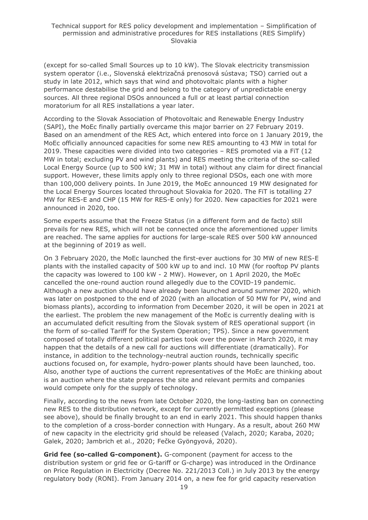(except for so-called Small Sources up to 10 kW). The Slovak electricity transmission system operator (i.e., Slovenská elektrizačná prenosová sústava; TSO) carried out a study in late 2012, which says that wind and photovoltaic plants with a higher performance destabilise the grid and belong to the category of unpredictable energy sources. All three regional DSOs announced a full or at least partial connection moratorium for all RES installations a year later.

According to the Slovak Association of Photovoltaic and Renewable Energy Industry (SAPI), the MoEc finally partially overcame this major barrier on 27 February 2019. Based on an amendment of the RES Act, which entered into force on 1 January 2019, the MoEc officially announced capacities for some new RES amounting to 43 MW in total for 2019. These capacities were divided into two categories – RES promoted via a FiT (12 MW in total; excluding PV and wind plants) and RES meeting the criteria of the so-called Local Energy Source (up to 500 kW; 31 MW in total) without any claim for direct financial support. However, these limits apply only to three regional DSOs, each one with more than 100,000 delivery points. In June 2019, the MoEc announced 19 MW designated for the Local Energy Sources located throughout Slovakia for 2020. The FiT is totalling 27 MW for RES-E and CHP (15 MW for RES-E only) for 2020. New capacities for 2021 were announced in 2020, too.

Some experts assume that the Freeze Status (in a different form and de facto) still prevails for new RES, which will not be connected once the aforementioned upper limits are reached. The same applies for auctions for large-scale RES over 500 kW announced at the beginning of 2019 as well.

On 3 February 2020, the MoEc launched the first-ever auctions for 30 MW of new RES-E plants with the installed capacity of 500 kW up to and incl. 10 MW (for rooftop PV plants the capacity was lowered to 100 kW - 2 MW). However, on 1 April 2020, the MoEc cancelled the one-round auction round allegedly due to the COVID-19 pandemic. Although a new auction should have already been launched around summer 2020, which was later on postponed to the end of 2020 (with an allocation of 50 MW for PV, wind and biomass plants), according to information from December 2020, it will be open in 2021 at the earliest. The problem the new management of the MoEc is currently dealing with is an accumulated deficit resulting from the Slovak system of RES operational support (in the form of so-called Tariff for the System Operation; TPS). Since a new government composed of totally different political parties took over the power in March 2020, it may happen that the details of a new call for auctions will differentiate (dramatically). For instance, in addition to the technology-neutral auction rounds, technically specific auctions focused on, for example, hydro-power plants should have been launched, too. Also, another type of auctions the current representatives of the MoEc are thinking about is an auction where the state prepares the site and relevant permits and companies would compete only for the supply of technology.

Finally, according to the news from late October 2020, the long-lasting ban on connecting new RES to the distribution network, except for currently permitted exceptions (please see above), should be finally brought to an end in early 2021. This should happen thanks to the completion of a cross-border connection with Hungary. As a result, about 260 MW of new capacity in the electricity grid should be released (Valach, 2020; Karaba, 2020; Galek, 2020; Jambrich et al., 2020; Fečke Gyöngyová, 2020).

**Grid fee (so-called G-component).** G-component (payment for access to the distribution system or grid fee or G-tariff or G-charge) was introduced in the Ordinance on Price Regulation in Electricity (Decree No. 221/2013 Coll.) in July 2013 by the energy regulatory body (RONI). From January 2014 on, a new fee for grid capacity reservation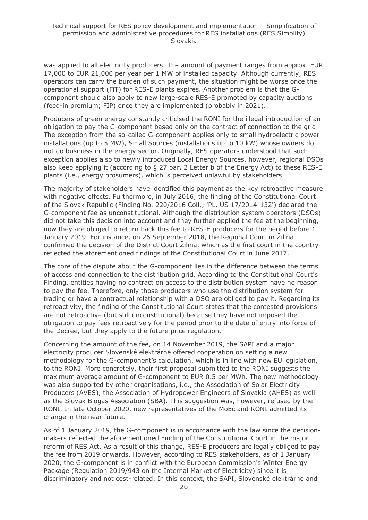was applied to all electricity producers. The amount of payment ranges from approx. EUR 17,000 to EUR 21,000 per year per 1 MW of installed capacity. Although currently, RES operators can carry the burden of such payment, the situation might be worse once the operational support (FiT) for RES-E plants expires. Another problem is that the Gcomponent should also apply to new large-scale RES-E promoted by capacity auctions (feed-in premium; FIP) once they are implemented (probably in 2021).

Producers of green energy constantly criticised the RONI for the illegal introduction of an obligation to pay the G-component based only on the contract of connection to the grid. The exception from the so-called G-component applies only to small hydroelectric power installations (up to 5 MW), Small Sources (installations up to 10 kW) whose owners do not do business in the energy sector. Originally, RES operators understood that such exception applies also to newly introduced Local Energy Sources, however, regional DSOs also keep applying it (according to § 27 par. 2 Letter b of the Energy Act) to these RES-E plants (i.e., energy prosumers), which is perceived unlawful by stakeholders.

The majority of stakeholders have identified this payment as the key retroactive measure with negative effects. Furthermore, in July 2016, the finding of the Constitutional Court of the Slovak Republic (Finding No. 220/2016 Coll.; 'PL. ÚS 17/2014-132') declared the G-component fee as unconstitutional. Although the distribution system operators (DSOs) did not take this decision into account and they further applied the fee at the beginning, now they are obliged to return back this fee to RES-E producers for the period before 1 January 2019. For instance, on 26 September 2018, the Regional Court in Žilina confirmed the decision of the District Court Žilina, which as the first court in the country reflected the aforementioned findings of the Constitutional Court in June 2017.

The core of the dispute about the G-component lies in the difference between the terms of access and connection to the distribution grid. According to the Constitutional Court's Finding, entities having no contract on access to the distribution system have no reason to pay the fee. Therefore, only those producers who use the distribution system for trading or have a contractual relationship with a DSO are obliged to pay it. Regarding its retroactivity, the finding of the Constitutional Court states that the contested provisions are not retroactive (but still unconstitutional) because they have not imposed the obligation to pay fees retroactively for the period prior to the date of entry into force of the Decree, but they apply to the future price regulation.

Concerning the amount of the fee, on 14 November 2019, the SAPI and a major electricity producer Slovenské elektrárne offered cooperation on setting a new methodology for the G-component's calculation, which is in line with new EU legislation, to the RONI. More concretely, their first proposal submitted to the RONI suggests the maximum average amount of G-component to EUR 0.5 per MWh. The new methodology was also supported by other organisations, i.e., the Association of Solar Electricity Producers (AVES), the Association of Hydropower Engineers of Slovakia (AHES) as well as the Slovak Biogas Association (SBA). This suggestion was, however, refused by the RONI. In late October 2020, new representatives of the MoEc and RONI admitted its change in the near future.

As of 1 January 2019, the G-component is in accordance with the law since the decisionmakers reflected the aforementioned Finding of the Constitutional Court in the major reform of RES Act. As a result of this change, RES-E producers are legally obliged to pay the fee from 2019 onwards. However, according to RES stakeholders, as of 1 January 2020, the G-component is in conflict with the European Commission's Winter Energy Package (Regulation 2019/943 on the Internal Market of Electricity) since it is discriminatory and not cost-related. In this context, the SAPI, Slovenské elektrárne and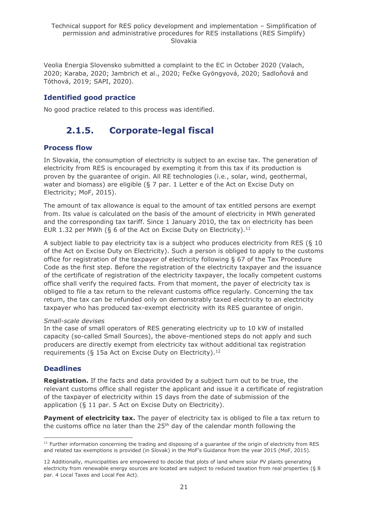Veolia Energia Slovensko submitted a complaint to the EC in October 2020 (Valach, 2020; Karaba, 2020; Jambrich et al., 2020; Fečke Gyöngyová, 2020; Sadloňová and Tóthová, 2019; SAPI, 2020).

# **Identified good practice**

<span id="page-20-0"></span>No good practice related to this process was identified.

# **2.1.5. Corporate-legal fiscal**

# **Process flow**

In Slovakia, the consumption of electricity is subject to an excise tax. The generation of electricity from RES is encouraged by exempting it from this tax if its production is proven by the guarantee of origin. All RE technologies (i.e., solar, wind, geothermal, water and biomass) are eligible (§ 7 par. 1 Letter e of the Act on Excise Duty on Electricity; MoF, 2015).

The amount of tax allowance is equal to the amount of tax entitled persons are exempt from. Its value is calculated on the basis of the amount of electricity in MWh generated and the corresponding tax tariff. Since 1 January 2010, the tax on electricity has been EUR 1.32 per MWh (§ 6 of the Act on Excise Duty on Electricity).<sup>11</sup>

A subject liable to pay electricity tax is a subject who produces electricity from RES (§ 10 of the Act on Excise Duty on Electricity). Such a person is obliged to apply to the customs office for registration of the taxpayer of electricity following § 67 of the Tax Procedure Code as the first step. Before the registration of the electricity taxpayer and the issuance of the certificate of registration of the electricity taxpayer, the locally competent customs office shall verify the required facts. From that moment, the payer of electricity tax is obliged to file a tax return to the relevant customs office regularly. Concerning the tax return, the tax can be refunded only on demonstrably taxed electricity to an electricity taxpayer who has produced tax-exempt electricity with its RES guarantee of origin.

#### *Small-scale devises*

In the case of small operators of RES generating electricity up to 10 kW of installed capacity (so-called Small Sources), the above-mentioned steps do not apply and such producers are directly exempt from electricity tax without additional tax registration requirements (§ 15a Act on Excise Duty on Electricity).<sup>12</sup>

# **Deadlines**

**Registration.** If the facts and data provided by a subject turn out to be true, the relevant customs office shall register the applicant and issue it a certificate of registration of the taxpayer of electricity within 15 days from the date of submission of the application (§ 11 par. 5 Act on Excise Duty on Electricity).

**Payment of electricity tax.** The payer of electricity tax is obliged to file a tax return to the customs office no later than the  $25<sup>th</sup>$  day of the calendar month following the

 $11$  Further information concerning the trading and disposing of a guarantee of the origin of electricity from RES and related tax exemptions is provided (in Slovak) in the MoF's Guidance from the year 2015 (MoF, 2015).

<sup>12</sup> Additionally, municipalities are empowered to decide that plots of land where solar PV plants generating electricity from renewable energy sources are located are subject to reduced taxation from real properties (§ 8 par. 4 Local Taxes and Local Fee Act).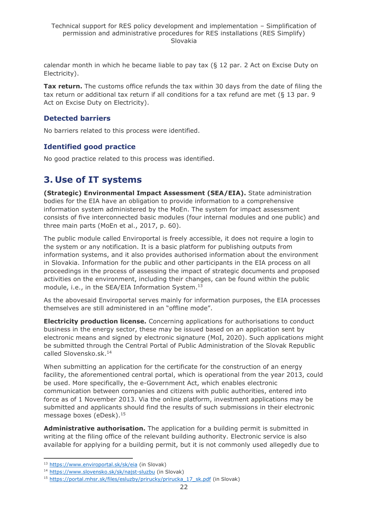calendar month in which he became liable to pay tax  $(§ 12$  par. 2 Act on Excise Duty on Electricity).

**Tax return.** The customs office refunds the tax within 30 days from the date of filing the tax return or additional tax return if all conditions for a tax refund are met (§ 13 par. 9 Act on Excise Duty on Electricity).

### **Detected barriers**

No barriers related to this process were identified.

# **Identified good practice**

No good practice related to this process was identified.

# <span id="page-21-0"></span>**3. Use of IT systems**

**(Strategic) Environmental Impact Assessment (SEA/EIA).** State administration bodies for the EIA have an obligation to provide information to a comprehensive information system administered by the MoEn. The system for impact assessment consists of five interconnected basic modules (four internal modules and one public) and three main parts (MoEn et al., 2017, p. 60).

The public module called Enviroportal is freely accessible, it does not require a login to the system or any notification. It is a basic platform for publishing outputs from information systems, and it also provides authorised information about the environment in Slovakia. Information for the public and other participants in the EIA process on all proceedings in the process of assessing the impact of strategic documents and proposed activities on the environment, including their changes, can be found within the public module, i.e., in the SEA/EIA Information System. 13

As the abovesaid Enviroportal serves mainly for information purposes, the EIA processes themselves are still administered in an "offline mode".

**Electricity production license.** Concerning applications for authorisations to conduct business in the energy sector, these may be issued based on an application sent by electronic means and signed by electronic signature (MoI, 2020). Such applications might be submitted through the Central Portal of Public Administration of the Slovak Republic called Slovensko.sk. 14

When submitting an application for the certificate for the construction of an energy facility, the aforementioned central portal, which is operational from the year 2013, could be used. More specifically, the e-Government Act, which enables electronic communication between companies and citizens with public authorities, entered into force as of 1 November 2013. Via the online platform, investment applications may be submitted and applicants should find the results of such submissions in their electronic message boxes (eDesk).<sup>15</sup>

**Administrative authorisation.** The application for a building permit is submitted in writing at the filing office of the relevant building authority. Electronic service is also available for applying for a building permit, but it is not commonly used allegedly due to

<sup>13</sup> <https://www.enviroportal.sk/sk/eia> (in Slovak)

<sup>14</sup> <https://www.slovensko.sk/sk/najst-sluzbu> (in Slovak)

<sup>&</sup>lt;sup>15</sup> [https://portal.mhsr.sk/files/esluzby/prirucky/prirucka\\_17\\_sk.pdf](https://portal.mhsr.sk/files/esluzby/prirucky/prirucka_17_sk.pdf) (in Slovak)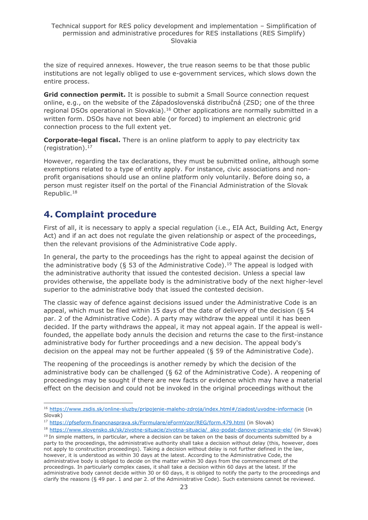the size of required annexes. However, the true reason seems to be that those public institutions are not legally obliged to use e-government services, which slows down the entire process.

**Grid connection permit.** It is possible to submit a Small Source connection request online, e.g., on the website of the Západoslovenská distribučná (ZSD; one of the three regional DSOs operational in Slovakia).<sup>16</sup> Other applications are normally submitted in a written form. DSOs have not been able (or forced) to implement an electronic grid connection process to the full extent yet.

**Corporate-legal fiscal.** There is an online platform to apply to pay electricity tax (registration). 17

However, regarding the tax declarations, they must be submitted online, although some exemptions related to a type of entity apply. For instance, civic associations and nonprofit organisations should use an online platform only voluntarily. Before doing so, a person must register itself on the portal of the Financial Administration of the Slovak Republic. 18

# <span id="page-22-0"></span>**4. Complaint procedure**

First of all, it is necessary to apply a special regulation (i.e., EIA Act, Building Act, Energy Act) and if an act does not regulate the given relationship or aspect of the proceedings, then the relevant provisions of the Administrative Code apply.

In general, the party to the proceedings has the right to appeal against the decision of the administrative body (§ 53 of the Administrative Code).<sup>19</sup> The appeal is lodged with the administrative authority that issued the contested decision. Unless a special law provides otherwise, the appellate body is the administrative body of the next higher-level superior to the administrative body that issued the contested decision.

The classic way of defence against decisions issued under the Administrative Code is an appeal, which must be filed within 15 days of the date of delivery of the decision (§ 54 par. 2 of the Administrative Code). A party may withdraw the appeal until it has been decided. If the party withdraws the appeal, it may not appeal again. If the appeal is wellfounded, the appellate body annuls the decision and returns the case to the first-instance administrative body for further proceedings and a new decision. The appeal body's decision on the appeal may not be further appealed (§ 59 of the Administrative Code).

The reopening of the proceedings is another remedy by which the decision of the administrative body can be challenged (§ 62 of the Administrative Code). A reopening of proceedings may be sought if there are new facts or evidence which may have a material effect on the decision and could not be invoked in the original proceedings without the

<sup>16</sup> [https://www.zsdis.sk/online-sluzby/pripojenie-maleho-zdroja/index.html#/ziadost/uvodne-informacie](https://www.zsdis.sk/online-sluzby/pripojenie-maleho-zdroja/index.html%23/ziadost/uvodne-informacie) (in Slovak)

<sup>17</sup> <https://pfseform.financnasprava.sk/Formulare/eFormVzor/REG/form.479.html> (in Slovak)

<sup>18</sup> [https://www.slovensko.sk/sk/zivotne-situacie/zivotna-situacia/\\_ako-podat-danove-priznanie-ele/](https://www.slovensko.sk/sk/zivotne-situacie/zivotna-situacia/_ako-podat-danove-priznanie-ele/) (in Slovak)

 $19$  In simple matters, in particular, where a decision can be taken on the basis of documents submitted by a party to the proceedings, the administrative authority shall take a decision without delay (this, however, does not apply to construction proceedings). Taking a decision without delay is not further defined in the law, however, it is understood as within 30 days at the latest. According to the Administrative Code, the administrative body is obliged to decide on the matter within 30 days from the commencement of the proceedings. In particularly complex cases, it shall take a decision within 60 days at the latest. If the administrative body cannot decide within 30 or 60 days, it is obliged to notify the party to the proceedings and clarify the reasons (§ 49 par. 1 and par 2. of the Administrative Code). Such extensions cannot be reviewed.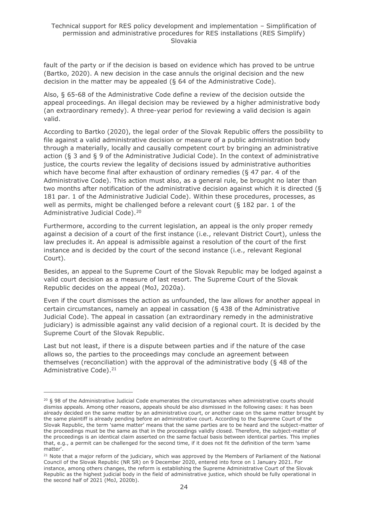fault of the party or if the decision is based on evidence which has proved to be untrue (Bartko, 2020). A new decision in the case annuls the original decision and the new decision in the matter may be appealed (§ 64 of the Administrative Code).

Also, § 65-68 of the Administrative Code define a review of the decision outside the appeal proceedings. An illegal decision may be reviewed by a higher administrative body (an extraordinary remedy). A three-year period for reviewing a valid decision is again valid.

According to Bartko (2020), the legal order of the Slovak Republic offers the possibility to file against a valid administrative decision or measure of a public administration body through a materially, locally and causally competent court by bringing an administrative action (§ 3 and § 9 of the Administrative Judicial Code). In the context of administrative justice, the courts review the legality of decisions issued by administrative authorities which have become final after exhaustion of ordinary remedies (§ 47 par. 4 of the Administrative Code). This action must also, as a general rule, be brought no later than two months after notification of the administrative decision against which it is directed (§ 181 par. 1 of the Administrative Judicial Code). Within these procedures, processes, as well as permits, might be challenged before a relevant court ( $\S$  182 par. 1 of the Administrative Judicial Code).<sup>20</sup>

Furthermore, according to the current legislation, an appeal is the only proper remedy against a decision of a court of the first instance (i.e., relevant District Court), unless the law precludes it. An appeal is admissible against a resolution of the court of the first instance and is decided by the court of the second instance (i.e., relevant Regional Court).

Besides, an appeal to the Supreme Court of the Slovak Republic may be lodged against a valid court decision as a measure of last resort. The Supreme Court of the Slovak Republic decides on the appeal (MoJ, 2020a).

Even if the court dismisses the action as unfounded, the law allows for another appeal in certain circumstances, namely an appeal in cassation (§ 438 of the Administrative Judicial Code). The appeal in cassation (an extraordinary remedy in the administrative judiciary) is admissible against any valid decision of a regional court. It is decided by the Supreme Court of the Slovak Republic.

Last but not least, if there is a dispute between parties and if the nature of the case allows so, the parties to the proceedings may conclude an agreement between themselves (reconciliation) with the approval of the administrative body (§ 48 of the Administrative Code).<sup>21</sup>

 $20$  § 98 of the Administrative Judicial Code enumerates the circumstances when administrative courts should dismiss appeals. Among other reasons, appeals should be also dismissed in the following cases: it has been already decided on the same matter by an administrative court, or another case on the same matter brought by the same plaintiff is already pending before an administrative court. According to the Supreme Court of the Slovak Republic, the term 'same matter' means that the same parties are to be heard and the subject-matter of the proceedings must be the same as that in the proceedings validly closed. Therefore, the subject-matter of the proceedings is an identical claim asserted on the same factual basis between identical parties. This implies that, e.g., a permit can be challenged for the second time, if it does not fit the definition of the term 'same matter'.

<sup>&</sup>lt;sup>21</sup> Note that a major reform of the judiciary, which was approved by the Members of Parliament of the National Council of the Slovak Republic (NR SR) on 9 December 2020, entered into force on 1 January 2021. For instance, among others changes, the reform is establishing the Supreme Administrative Court of the Slovak Republic as the highest judicial body in the field of administrative justice, which should be fully operational in the second half of 2021 (MoJ, 2020b).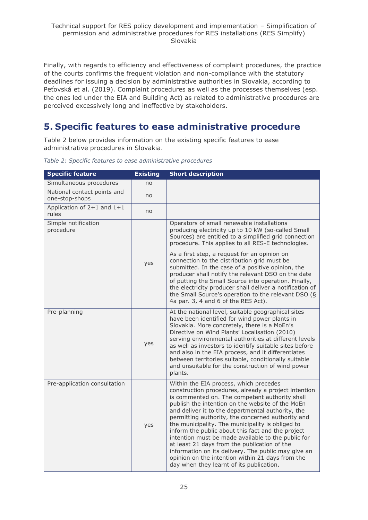Finally, with regards to efficiency and effectiveness of complaint procedures, the practice of the courts confirms the frequent violation and non-compliance with the statutory deadlines for issuing a decision by administrative authorities in Slovakia, according to Peťovská et al. (2019). Complaint procedures as well as the processes themselves (esp. the ones led under the EIA and Building Act) as related to administrative procedures are perceived excessively long and ineffective by stakeholders.

# <span id="page-24-0"></span>**5. Specific features to ease administrative procedure**

Table 2 below provides information on the existing specific features to ease administrative procedures in Slovakia.

| <b>Specific feature</b>                       | <b>Existing</b> | <b>Short description</b>                                                                                                                                                                                                                                                                                                                                                                                                                                                                                                                                                                                                                                                             |
|-----------------------------------------------|-----------------|--------------------------------------------------------------------------------------------------------------------------------------------------------------------------------------------------------------------------------------------------------------------------------------------------------------------------------------------------------------------------------------------------------------------------------------------------------------------------------------------------------------------------------------------------------------------------------------------------------------------------------------------------------------------------------------|
| Simultaneous procedures                       | no              |                                                                                                                                                                                                                                                                                                                                                                                                                                                                                                                                                                                                                                                                                      |
| National contact points and<br>one-stop-shops | no              |                                                                                                                                                                                                                                                                                                                                                                                                                                                                                                                                                                                                                                                                                      |
| Application of 2+1 and 1+1<br>rules           | no              |                                                                                                                                                                                                                                                                                                                                                                                                                                                                                                                                                                                                                                                                                      |
| Simple notification<br>procedure              |                 | Operators of small renewable installations<br>producing electricity up to 10 kW (so-called Small<br>Sources) are entitled to a simplified grid connection<br>procedure. This applies to all RES-E technologies.                                                                                                                                                                                                                                                                                                                                                                                                                                                                      |
|                                               | yes             | As a first step, a request for an opinion on<br>connection to the distribution grid must be<br>submitted. In the case of a positive opinion, the<br>producer shall notify the relevant DSO on the date<br>of putting the Small Source into operation. Finally,<br>the electricity producer shall deliver a notification of<br>the Small Source's operation to the relevant DSO (§<br>4a par. 3, 4 and 6 of the RES Act).                                                                                                                                                                                                                                                             |
| Pre-planning                                  | yes             | At the national level, suitable geographical sites<br>have been identified for wind power plants in<br>Slovakia. More concretely, there is a MoEn's<br>Directive on Wind Plants' Localisation (2010)<br>serving environmental authorities at different levels<br>as well as investors to identify suitable sites before<br>and also in the EIA process, and it differentiates<br>between territories suitable, conditionally suitable<br>and unsuitable for the construction of wind power<br>plants.                                                                                                                                                                                |
| Pre-application consultation                  | yes             | Within the EIA process, which precedes<br>construction procedures, already a project intention<br>is commented on. The competent authority shall<br>publish the intention on the website of the MoEn<br>and deliver it to the departmental authority, the<br>permitting authority, the concerned authority and<br>the municipality. The municipality is obliged to<br>inform the public about this fact and the project<br>intention must be made available to the public for<br>at least 21 days from the publication of the<br>information on its delivery. The public may give an<br>opinion on the intention within 21 days from the<br>day when they learnt of its publication. |

*Table 2: Specific features to ease administrative procedures*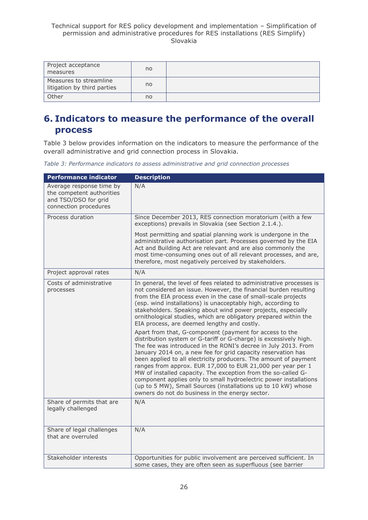| Project acceptance<br>measures                        | no |  |
|-------------------------------------------------------|----|--|
| Measures to streamline<br>litigation by third parties | no |  |
| Other                                                 | no |  |

# <span id="page-25-0"></span>**6. Indicators to measure the performance of the overall process**

Table 3 below provides information on the indicators to measure the performance of the overall administrative and grid connection process in Slovakia.

|  | Table 3: Performance indicators to assess administrative and grid connection processes |
|--|----------------------------------------------------------------------------------------|
|--|----------------------------------------------------------------------------------------|

| <b>Performance indicator</b>                                                                           | <b>Description</b>                                                                                                                                                                                                                                                                                                                                                                                                                                                                                                                                                                                                                                          |
|--------------------------------------------------------------------------------------------------------|-------------------------------------------------------------------------------------------------------------------------------------------------------------------------------------------------------------------------------------------------------------------------------------------------------------------------------------------------------------------------------------------------------------------------------------------------------------------------------------------------------------------------------------------------------------------------------------------------------------------------------------------------------------|
| Average response time by<br>the competent authorities<br>and TSO/DSO for grid<br>connection procedures | N/A                                                                                                                                                                                                                                                                                                                                                                                                                                                                                                                                                                                                                                                         |
| Process duration                                                                                       | Since December 2013, RES connection moratorium (with a few<br>exceptions) prevails in Slovakia (see Section 2.1.4.).                                                                                                                                                                                                                                                                                                                                                                                                                                                                                                                                        |
|                                                                                                        | Most permitting and spatial planning work is undergone in the<br>administrative authorisation part. Processes governed by the EIA<br>Act and Building Act are relevant and are also commonly the<br>most time-consuming ones out of all relevant processes, and are,<br>therefore, most negatively perceived by stakeholders.                                                                                                                                                                                                                                                                                                                               |
| Project approval rates                                                                                 | N/A                                                                                                                                                                                                                                                                                                                                                                                                                                                                                                                                                                                                                                                         |
| Costs of administrative<br>processes                                                                   | In general, the level of fees related to administrative processes is<br>not considered an issue. However, the financial burden resulting<br>from the EIA process even in the case of small-scale projects<br>(esp. wind installations) is unacceptably high, according to<br>stakeholders. Speaking about wind power projects, especially<br>ornithological studies, which are obligatory prepared within the<br>EIA process, are deemed lengthy and costly.                                                                                                                                                                                                |
|                                                                                                        | Apart from that, G-component (payment for access to the<br>distribution system or G-tariff or G-charge) is excessively high.<br>The fee was introduced in the RONI's decree in July 2013. From<br>January 2014 on, a new fee for grid capacity reservation has<br>been applied to all electricity producers. The amount of payment<br>ranges from approx. EUR 17,000 to EUR 21,000 per year per 1<br>MW of installed capacity. The exception from the so-called G-<br>component applies only to small hydroelectric power installations<br>(up to 5 MW), Small Sources (installations up to 10 kW) whose<br>owners do not do business in the energy sector. |
| Share of permits that are<br>legally challenged                                                        | N/A                                                                                                                                                                                                                                                                                                                                                                                                                                                                                                                                                                                                                                                         |
| Share of legal challenges<br>that are overruled                                                        | N/A                                                                                                                                                                                                                                                                                                                                                                                                                                                                                                                                                                                                                                                         |
| Stakeholder interests                                                                                  | Opportunities for public involvement are perceived sufficient. In<br>some cases, they are often seen as superfluous (see barrier                                                                                                                                                                                                                                                                                                                                                                                                                                                                                                                            |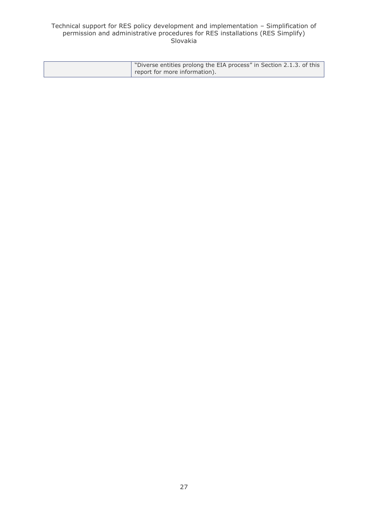#### Technical support for RES policy development and implementation – Simplification of permission and administrative procedures for RES installations (RES Simplify) Slovakia

| "Diverse entities prolong the EIA process" in Section 2.1.3. of this |
|----------------------------------------------------------------------|
| report for more information).                                        |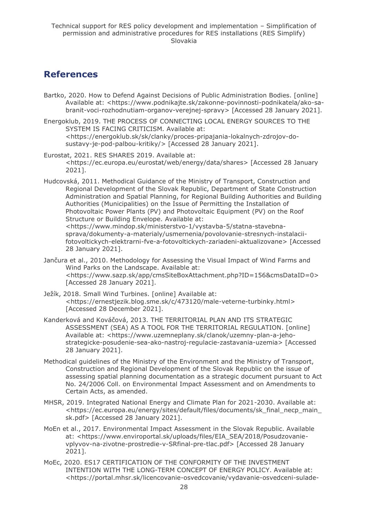# <span id="page-27-0"></span>**References**

Bartko, 2020. How to Defend Against Decisions of Public Administration Bodies. [online] Available at: <https://www.podnikajte.sk/zakonne-povinnosti-podnikatela/ako-sabranit-voci-rozhodnutiam-organov-verejnej-spravy> [Accessed 28 January 2021].

Energoklub, 2019. THE PROCESS OF CONNECTING LOCAL ENERGY SOURCES TO THE SYSTEM IS FACING CRITICISM. Available at: <https://energoklub.sk/sk/clanky/proces-pripajania-lokalnych-zdrojov-dosustavy-je-pod-palbou-kritiky/> [Accessed 28 January 2021].

- Eurostat, 2021. RES SHARES 2019. Available at: <https://ec.europa.eu/eurostat/web/energy/data/shares> [Accessed 28 January 2021].
- Hudcovská, 2011. Methodical Guidance of the Ministry of Transport, Construction and Regional Development of the Slovak Republic, Department of State Construction Administration and Spatial Planning, for Regional Building Authorities and Building Authorities (Municipalities) on the Issue of Permitting the Installation of Photovoltaic Power Plants (PV) and Photovoltaic Equipment (PV) on the Roof Structure or Building Envelope. Available at: <https://www.mindop.sk/ministerstvo-1/vystavba-5/statna-stavebnasprava/dokumenty-a-materialy/usmernenia/povolovanie-stresnych-instalaciifotovoltickych-elektrarni-fve-a-fotovoltickych-zariadeni-aktualizovane> [Accessed 28 January 2021].
- Jančura et al., 2010. Methodology for Assessing the Visual Impact of Wind Farms and Wind Parks on the Landscape. Available at: <https://www.sazp.sk/app/cmsSiteBoxAttachment.php?ID=156&cmsDataID=0> [Accessed 28 January 2021].
- Ježík, 2018. Small Wind Turbines. [online] Available at: <https://ernestjezik.blog.sme.sk/c/473120/male-veterne-turbinky.html> [Accessed 28 December 2021].
- Kanderková and Kováčová, 2013. THE TERRITORIAL PLAN AND ITS STRATEGIC ASSESSMENT (SEA) AS A TOOL FOR THE TERRITORIAL REGULATION. [online] Available at: <https://www.uzemneplany.sk/clanok/uzemny-plan-a-jehostrategicke-posudenie-sea-ako-nastroj-regulacie-zastavania-uzemia> [Accessed 28 January 2021].
- Methodical guidelines of the Ministry of the Environment and the Ministry of Transport, Construction and Regional Development of the Slovak Republic on the issue of assessing spatial planning documentation as a strategic document pursuant to Act No. 24/2006 Coll. on Environmental Impact Assessment and on Amendments to Certain Acts, as amended.
- MHSR, 2019. Integrated National Energy and Climate Plan for 2021-2030. Available at: [<https://ec.europa.eu/energy/sites/default/files/documents/sk\\_final\\_necp\\_main\\_](https://ec.europa.eu/energy/sites/default/files/documents/sk_final_necp_main_sk.pdf) [sk.pdf>](https://ec.europa.eu/energy/sites/default/files/documents/sk_final_necp_main_sk.pdf) [Accessed 28 January 2021].
- MoEn et al., 2017. Environmental Impact Assessment in the Slovak Republic. Available at: <https://www.enviroportal.sk/uploads/files/EIA\_SEA/2018/Posudzovanievplyvov-na-zivotne-prostredie-v-SRfinal-pre-tlac.pdf> [Accessed 28 January 2021].
- MoEc, 2020. ES17 CERTIFICATION OF THE CONFORMITY OF THE INVESTMENT INTENTION WITH THE LONG-TERM CONCEPT OF ENERGY POLICY. Available at: <https://portal.mhsr.sk/licencovanie-osvedcovanie/vydavanie-osvedceni-sulade-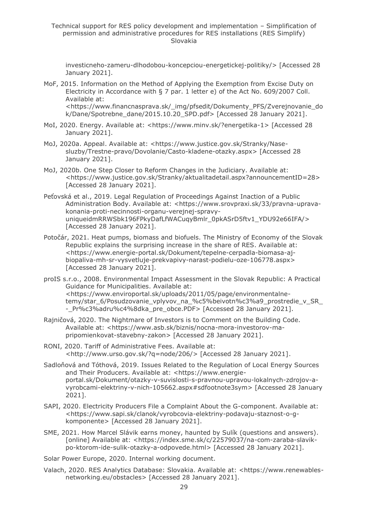Technical support for RES policy development and implementation – Simplification of permission and administrative procedures for RES installations (RES Simplify) Slovakia

investicneho-zameru-dlhodobou-koncepciou-energetickej-politiky/> [Accessed 28 January 2021].

- MoF, 2015. Information on the Method of Applying the Exemption from Excise Duty on Electricity in Accordance with § 7 par. 1 letter e) of the Act No. 609/2007 Coll. Available at: <https://www.financnasprava.sk/\_img/pfsedit/Dokumenty\_PFS/Zverejnovanie\_do k/Dane/Spotrebne\_dane/2015.10.20\_SPD.pdf> [Accessed 28 January 2021].
- MoI, 2020. Energy. Available at: <https://www.minv.sk/?energetika-1> [Accessed 28 January 2021].
- MoJ, 2020a. Appeal. Available at: <https://www.justice.gov.sk/Stranky/Nasesluzby/Trestne-pravo/Dovolanie/Casto-kladene-otazky.aspx> [Accessed 28 January 2021].
- MoJ, 2020b. One Step Closer to Reform Changes in the Judiciary. Available at: <https://www.justice.gov.sk/Stranky/aktualitadetail.aspx?announcementID=28> [Accessed 28 January 2021].
- Peťovská et al., 2019. Legal Regulation of Proceedings Against Inaction of a Public Administration Body. Available at: <https://www.srovpraxi.sk/33/pravna-upravakonania-proti-necinnosti-organu-verejnej-spravyuniqueidmRRWSbk196FPkyDafLfWACuqyBmlr\_0pkASrD5ftv1\_YDU92e66IFA/> [Accessed 28 January 2021].
- Potočár, 2021. Heat pumps, biomass and biofuels. The Ministry of Economy of the Slovak Republic explains the surprising increase in the share of RES. Available at: [<https://www.energie-portal.sk/Dokument/tepelne-cerpadla-biomasa-aj](https://www.energie-portal.sk/Dokument/tepelne-cerpadla-biomasa-aj-biopaliva-mh-sr-vysvetluje-prekvapivy-narast-podielu-oze-106778.aspx)[biopaliva-mh-sr-vysvetluje-prekvapivy-narast-podielu-oze-106778.aspx>](https://www.energie-portal.sk/Dokument/tepelne-cerpadla-biomasa-aj-biopaliva-mh-sr-vysvetluje-prekvapivy-narast-podielu-oze-106778.aspx) [Accessed 28 January 2021].
- proIS s.r.o., 2008. Environmental Impact Assessment in the Slovak Republic: A Practical Guidance for Municipalities. Available at: <https://www.enviroportal.sk/uploads/2011/05/page/environmentalnetemy/star\_6/Posudzovanie\_vplyvov\_na\_%c5%beivotn%c3%a9\_prostredie\_v\_SR\_ - Pr%c3%adru%c4%8dka\_pre\_obce.PDF> [Accessed 28 January 2021].
- Rajničová, 2020. The Nightmare of Investors is to Comment on the Building Code. Available at: <https://www.asb.sk/biznis/nocna-mora-investorov-mapripomienkovat-stavebny-zakon> [Accessed 28 January 2021].
- RONI, 2020. Tariff of Administrative Fees. Available at: <http://www.urso.gov.sk/?q=node/206/> [Accessed 28 January 2021].
- Sadloňová and Tóthová, 2019. Issues Related to the Regulation of Local Energy Sources and Their Producers. Available at: <https://www.energieportal.sk/Dokument/otazky-v-suvislosti-s-pravnou-upravou-lokalnych-zdrojov-avyrobcami-elektriny-v-nich-105662.aspx#sdfootnote3sym> [Accessed 28 January 2021].
- SAPI, 2020. Electricity Producers File a Complaint About the G-component. Available at: <https://www.sapi.sk/clanok/vyrobcovia-elektriny-podavaju-staznost-o-gkomponente> [Accessed 28 January 2021].
- SME, 2021. How Marcel Slávik earns money, haunted by Sulík (questions and answers). [online] Available at: <https://index.sme.sk/c/22579037/na-com-zaraba-slavikpo-ktorom-ide-sulik-otazky-a-odpovede.html> [Accessed 28 January 2021].

Solar Power Europe, 2020. Internal working document.

Valach, 2020. RES Analytics Database: Slovakia. Available at: <https://www.renewablesnetworking.eu/obstacles> [Accessed 28 January 2021].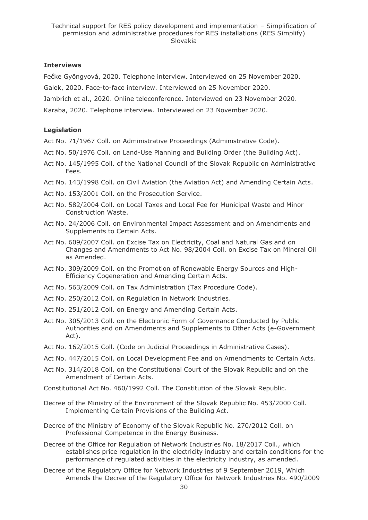### **Interviews**

Fečke Gyöngyová, 2020. Telephone interview. Interviewed on 25 November 2020.

Galek, 2020. Face-to-face interview. Interviewed on 25 November 2020.

Jambrich et al., 2020. Online teleconference. Interviewed on 23 November 2020.

Karaba, 2020. Telephone interview. Interviewed on 23 November 2020.

### **Legislation**

Act No. 71/1967 Coll. on Administrative Proceedings (Administrative Code).

- Act No. 50/1976 Coll. on Land-Use Planning and Building Order (the Building Act).
- Act No. 145/1995 Coll. of the National Council of the Slovak Republic on Administrative Fees.
- Act No. 143/1998 Coll. on Civil Aviation (the Aviation Act) and Amending Certain Acts.
- Act No. 153/2001 Coll. on the Prosecution Service.
- Act No. 582/2004 Coll. on Local Taxes and Local Fee for Municipal Waste and Minor Construction Waste.
- Act No. 24/2006 Coll. on Environmental Impact Assessment and on Amendments and Supplements to Certain Acts.
- Act No. 609/2007 Coll. on Excise Tax on Electricity, Coal and Natural Gas and on Changes and Amendments to Act No. 98/2004 Coll. on Excise Tax on Mineral Oil as Amended.
- Act No. 309/2009 Coll. on the Promotion of Renewable Energy Sources and High-Efficiency Cogeneration and Amending Certain Acts.
- Act No. 563/2009 Coll. on Tax Administration (Tax Procedure Code).
- Act No. 250/2012 Coll. on Regulation in Network Industries.
- Act No. 251/2012 Coll. on Energy and Amending Certain Acts.
- Act No. 305/2013 Coll. on the Electronic Form of Governance Conducted by Public Authorities and on Amendments and Supplements to Other Acts (e-Government Act).
- Act No. 162/2015 Coll. (Code on Judicial Proceedings in Administrative Cases).
- Act No. 447/2015 Coll. on Local Development Fee and on Amendments to Certain Acts.
- Act No. 314/2018 Coll. on the Constitutional Court of the Slovak Republic and on the Amendment of Certain Acts.

Constitutional Act No. 460/1992 Coll. The Constitution of the Slovak Republic.

- Decree of the Ministry of the Environment of the Slovak Republic No. 453/2000 Coll. Implementing Certain Provisions of the Building Act.
- Decree of the Ministry of Economy of the Slovak Republic No. 270/2012 Coll. on Professional Competence in the Energy Business.
- Decree of the Office for Regulation of Network Industries No. 18/2017 Coll., which establishes price regulation in the electricity industry and certain conditions for the performance of regulated activities in the electricity industry, as amended.
- Decree of the Regulatory Office for Network Industries of 9 September 2019, Which Amends the Decree of the Regulatory Office for Network Industries No. 490/2009